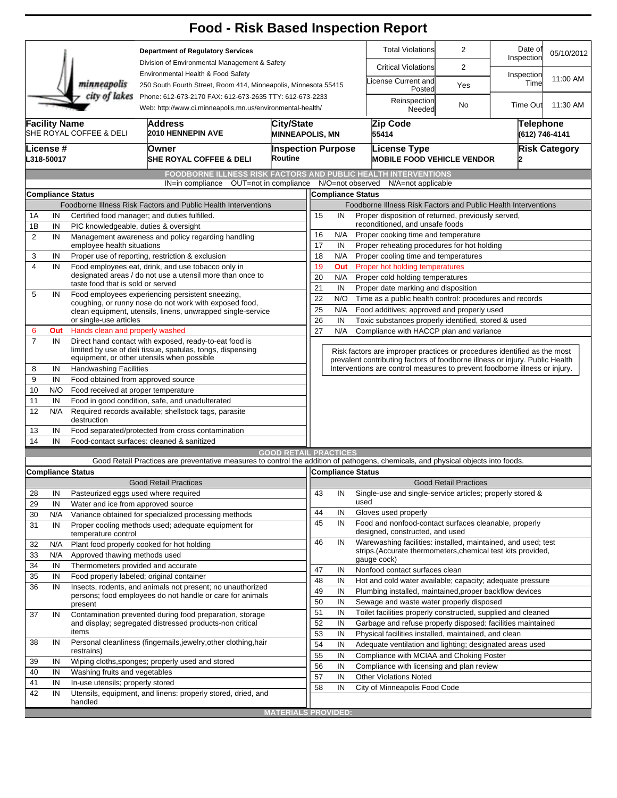|                                                                                           |                                                                                                                                                                                                                                                                |                                                                                                                                    | <b>Food - Risk Based Inspection Report</b>                                                                                        |                                                                          |                           |                                                                                                                                    |                                                                                          |                                                                                                                                                            |                              |                       |            |
|-------------------------------------------------------------------------------------------|----------------------------------------------------------------------------------------------------------------------------------------------------------------------------------------------------------------------------------------------------------------|------------------------------------------------------------------------------------------------------------------------------------|-----------------------------------------------------------------------------------------------------------------------------------|--------------------------------------------------------------------------|---------------------------|------------------------------------------------------------------------------------------------------------------------------------|------------------------------------------------------------------------------------------|------------------------------------------------------------------------------------------------------------------------------------------------------------|------------------------------|-----------------------|------------|
| <b>Department of Regulatory Services</b><br>Division of Environmental Management & Safety |                                                                                                                                                                                                                                                                |                                                                                                                                    |                                                                                                                                   |                                                                          |                           |                                                                                                                                    |                                                                                          | <b>Total Violations</b>                                                                                                                                    | $\overline{2}$               | Date of<br>Inspection | 05/10/2012 |
|                                                                                           |                                                                                                                                                                                                                                                                |                                                                                                                                    |                                                                                                                                   |                                                                          |                           |                                                                                                                                    |                                                                                          | <b>Critical Violations</b>                                                                                                                                 | 2                            |                       |            |
|                                                                                           | Environmental Health & Food Safety<br>minneapolis<br>250 South Fourth Street, Room 414, Minneapolis, Minnesota 55415<br>city of lakes<br>Phone: 612-673-2170 FAX: 612-673-2635 TTY: 612-673-2233<br>Web: http://www.ci.minneapolis.mn.us/environmental-health/ |                                                                                                                                    |                                                                                                                                   |                                                                          |                           |                                                                                                                                    |                                                                                          | icense Current and<br>Posted                                                                                                                               | Yes                          | Inspection<br>Time    | 11:00 AM   |
|                                                                                           |                                                                                                                                                                                                                                                                |                                                                                                                                    |                                                                                                                                   |                                                                          |                           |                                                                                                                                    |                                                                                          | Reinspection<br>Needed                                                                                                                                     | No                           | <b>Time Out</b>       | 11:30 AM   |
|                                                                                           | <b>Facility Name</b><br>City/State<br><b>Address</b><br>SHE ROYAL COFFEE & DELI<br><b>2010 HENNEPIN AVE</b><br><b>MINNEAPOLIS, MN</b>                                                                                                                          |                                                                                                                                    |                                                                                                                                   |                                                                          |                           |                                                                                                                                    |                                                                                          | Zip Code<br><b>Telephone</b><br>(612) 746-4141<br>55414                                                                                                    |                              |                       |            |
|                                                                                           | License #<br>L318-50017                                                                                                                                                                                                                                        |                                                                                                                                    | Owner<br><b>SHE ROYAL COFFEE &amp; DELI</b>                                                                                       | Routine                                                                  | <b>Inspection Purpose</b> |                                                                                                                                    |                                                                                          | License Type<br><b>MOBILE FOOD VEHICLE VENDOR</b>                                                                                                          | <b>Risk Category</b>         |                       |            |
|                                                                                           |                                                                                                                                                                                                                                                                |                                                                                                                                    | <b>FOODBORNE ILLNESS RISK FACTORS AND PUBLIC HEALTH INTERVENTIONS</b><br>IN=in compliance                                         |                                                                          |                           | N/O=not observed                                                                                                                   |                                                                                          | N/A=not applicable                                                                                                                                         |                              |                       |            |
| OUT=not in compliance<br><b>Compliance Status</b>                                         |                                                                                                                                                                                                                                                                |                                                                                                                                    |                                                                                                                                   |                                                                          |                           |                                                                                                                                    | <b>Compliance Status</b>                                                                 |                                                                                                                                                            |                              |                       |            |
|                                                                                           |                                                                                                                                                                                                                                                                |                                                                                                                                    | Foodborne Illness Risk Factors and Public Health Interventions                                                                    |                                                                          |                           |                                                                                                                                    |                                                                                          | Foodborne Illness Risk Factors and Public Health Interventions                                                                                             |                              |                       |            |
| 1A                                                                                        | IN                                                                                                                                                                                                                                                             |                                                                                                                                    | Certified food manager; and duties fulfilled.                                                                                     |                                                                          | 15                        | IN                                                                                                                                 |                                                                                          | Proper disposition of returned, previously served,                                                                                                         |                              |                       |            |
| 1B                                                                                        | IN                                                                                                                                                                                                                                                             | PIC knowledgeable, duties & oversight                                                                                              |                                                                                                                                   |                                                                          |                           |                                                                                                                                    |                                                                                          | reconditioned, and unsafe foods                                                                                                                            |                              |                       |            |
| $\overline{2}$                                                                            | IN                                                                                                                                                                                                                                                             |                                                                                                                                    | Management awareness and policy regarding handling                                                                                |                                                                          | 16                        | N/A                                                                                                                                |                                                                                          | Proper cooking time and temperature                                                                                                                        |                              |                       |            |
|                                                                                           |                                                                                                                                                                                                                                                                | employee health situations                                                                                                         |                                                                                                                                   |                                                                          | 17                        | IN                                                                                                                                 |                                                                                          | Proper reheating procedures for hot holding                                                                                                                |                              |                       |            |
| 3<br>$\overline{4}$                                                                       | IN<br>IN                                                                                                                                                                                                                                                       |                                                                                                                                    | Proper use of reporting, restriction & exclusion<br>Food employees eat, drink, and use tobacco only in                            |                                                                          | 18<br>19                  | N/A<br>Out                                                                                                                         |                                                                                          | Proper cooling time and temperatures<br>Proper hot holding temperatures                                                                                    |                              |                       |            |
|                                                                                           |                                                                                                                                                                                                                                                                |                                                                                                                                    | designated areas / do not use a utensil more than once to                                                                         |                                                                          | 20                        | N/A                                                                                                                                |                                                                                          | Proper cold holding temperatures                                                                                                                           |                              |                       |            |
|                                                                                           |                                                                                                                                                                                                                                                                | taste food that is sold or served                                                                                                  |                                                                                                                                   |                                                                          | 21                        | IN                                                                                                                                 |                                                                                          | Proper date marking and disposition                                                                                                                        |                              |                       |            |
| 5                                                                                         | IN                                                                                                                                                                                                                                                             | Food employees experiencing persistent sneezing,                                                                                   |                                                                                                                                   |                                                                          |                           |                                                                                                                                    |                                                                                          |                                                                                                                                                            |                              |                       |            |
|                                                                                           |                                                                                                                                                                                                                                                                |                                                                                                                                    | coughing, or runny nose do not work with exposed food,<br>clean equipment, utensils, linens, unwrapped single-service             |                                                                          | 25                        | 22<br>Time as a public health control: procedures and records<br>N/O<br>N/A<br>Food additives; approved and properly used          |                                                                                          |                                                                                                                                                            |                              |                       |            |
|                                                                                           |                                                                                                                                                                                                                                                                | or single-use articles                                                                                                             |                                                                                                                                   |                                                                          |                           | 26<br>Toxic substances properly identified, stored & used<br>IN                                                                    |                                                                                          |                                                                                                                                                            |                              |                       |            |
| 6                                                                                         | Out                                                                                                                                                                                                                                                            | Hands clean and properly washed                                                                                                    |                                                                                                                                   |                                                                          | 27                        | N/A                                                                                                                                |                                                                                          | Compliance with HACCP plan and variance                                                                                                                    |                              |                       |            |
| $\overline{7}$                                                                            | IN                                                                                                                                                                                                                                                             |                                                                                                                                    | Direct hand contact with exposed, ready-to-eat food is<br>limited by use of deli tissue, spatulas, tongs, dispensing              | Risk factors are improper practices or procedures identified as the most |                           |                                                                                                                                    |                                                                                          |                                                                                                                                                            |                              |                       |            |
|                                                                                           |                                                                                                                                                                                                                                                                |                                                                                                                                    | equipment, or other utensils when possible                                                                                        |                                                                          |                           |                                                                                                                                    |                                                                                          | prevalent contributing factors of foodborne illness or injury. Public Health<br>Interventions are control measures to prevent foodborne illness or injury. |                              |                       |            |
| 8<br>9                                                                                    |                                                                                                                                                                                                                                                                | <b>Handwashing Facilities</b><br>IN                                                                                                |                                                                                                                                   |                                                                          |                           |                                                                                                                                    |                                                                                          |                                                                                                                                                            |                              |                       |            |
| 10                                                                                        | IN<br>Food obtained from approved source<br>N/O<br>Food received at proper temperature                                                                                                                                                                         |                                                                                                                                    |                                                                                                                                   |                                                                          |                           |                                                                                                                                    |                                                                                          |                                                                                                                                                            |                              |                       |            |
|                                                                                           |                                                                                                                                                                                                                                                                |                                                                                                                                    |                                                                                                                                   |                                                                          |                           |                                                                                                                                    |                                                                                          |                                                                                                                                                            |                              |                       |            |
| 12                                                                                        | IN<br>Food in good condition, safe, and unadulterated<br>11<br>N/A<br>Required records available; shellstock tags, parasite<br>destruction                                                                                                                     |                                                                                                                                    |                                                                                                                                   |                                                                          |                           |                                                                                                                                    |                                                                                          |                                                                                                                                                            |                              |                       |            |
| 13                                                                                        | IN                                                                                                                                                                                                                                                             |                                                                                                                                    | Food separated/protected from cross contamination                                                                                 |                                                                          |                           |                                                                                                                                    |                                                                                          |                                                                                                                                                            |                              |                       |            |
| 14                                                                                        | IN                                                                                                                                                                                                                                                             |                                                                                                                                    | Food-contact surfaces: cleaned & sanitized                                                                                        |                                                                          |                           |                                                                                                                                    |                                                                                          |                                                                                                                                                            |                              |                       |            |
|                                                                                           |                                                                                                                                                                                                                                                                |                                                                                                                                    |                                                                                                                                   | <b>GOOD RETAIL PRACTICES</b>                                             |                           |                                                                                                                                    |                                                                                          |                                                                                                                                                            |                              |                       |            |
|                                                                                           |                                                                                                                                                                                                                                                                |                                                                                                                                    | Good Retail Practices are preventative measures to control the addition of pathogens, chemicals, and physical objects into foods. |                                                                          |                           |                                                                                                                                    |                                                                                          |                                                                                                                                                            |                              |                       |            |
|                                                                                           |                                                                                                                                                                                                                                                                | <b>Compliance Status</b>                                                                                                           |                                                                                                                                   |                                                                          |                           | Compliance Status                                                                                                                  |                                                                                          |                                                                                                                                                            |                              |                       |            |
|                                                                                           |                                                                                                                                                                                                                                                                |                                                                                                                                    | <b>Good Retail Practices</b>                                                                                                      |                                                                          |                           |                                                                                                                                    |                                                                                          |                                                                                                                                                            | <b>Good Retail Practices</b> |                       |            |
| 28                                                                                        | IN                                                                                                                                                                                                                                                             | Pasteurized eggs used where required                                                                                               |                                                                                                                                   |                                                                          | 43                        | IN                                                                                                                                 | used                                                                                     | Single-use and single-service articles; properly stored &                                                                                                  |                              |                       |            |
| 29                                                                                        | IN                                                                                                                                                                                                                                                             | Water and ice from approved source                                                                                                 |                                                                                                                                   |                                                                          | 44                        | IN                                                                                                                                 |                                                                                          | Gloves used properly                                                                                                                                       |                              |                       |            |
| 30                                                                                        | N/A<br>Variance obtained for specialized processing methods                                                                                                                                                                                                    |                                                                                                                                    |                                                                                                                                   |                                                                          | 45                        | IN                                                                                                                                 |                                                                                          |                                                                                                                                                            |                              |                       |            |
| 31                                                                                        | IN                                                                                                                                                                                                                                                             | temperature control                                                                                                                | Proper cooling methods used; adequate equipment for                                                                               |                                                                          |                           |                                                                                                                                    | Food and nonfood-contact surfaces cleanable, properly<br>designed, constructed, and used |                                                                                                                                                            |                              |                       |            |
| 32                                                                                        | N/A                                                                                                                                                                                                                                                            |                                                                                                                                    | Plant food properly cooked for hot holding                                                                                        |                                                                          | 46                        | IN                                                                                                                                 |                                                                                          | Warewashing facilities: installed, maintained, and used; test                                                                                              |                              |                       |            |
| 33                                                                                        | N/A                                                                                                                                                                                                                                                            | Approved thawing methods used                                                                                                      |                                                                                                                                   |                                                                          |                           |                                                                                                                                    |                                                                                          | strips. (Accurate thermometers, chemical test kits provided,                                                                                               |                              |                       |            |
| 34                                                                                        | IN                                                                                                                                                                                                                                                             | Thermometers provided and accurate                                                                                                 |                                                                                                                                   |                                                                          |                           |                                                                                                                                    |                                                                                          | gauge cock)                                                                                                                                                |                              |                       |            |
| 35                                                                                        | IN                                                                                                                                                                                                                                                             | Food properly labeled; original container                                                                                          |                                                                                                                                   |                                                                          | 47<br>48                  | IN                                                                                                                                 |                                                                                          | Nonfood contact surfaces clean                                                                                                                             |                              |                       |            |
| 36                                                                                        | IN                                                                                                                                                                                                                                                             | Insects, rodents, and animals not present; no unauthorized<br>persons; food employees do not handle or care for animals<br>present |                                                                                                                                   |                                                                          |                           | IN<br>IN                                                                                                                           |                                                                                          | Hot and cold water available; capacity; adequate pressure                                                                                                  |                              |                       |            |
|                                                                                           |                                                                                                                                                                                                                                                                |                                                                                                                                    |                                                                                                                                   |                                                                          |                           | 49<br>Plumbing installed, maintained, proper backflow devices<br>50<br>IN                                                          |                                                                                          |                                                                                                                                                            |                              |                       |            |
|                                                                                           |                                                                                                                                                                                                                                                                |                                                                                                                                    |                                                                                                                                   |                                                                          |                           | Sewage and waste water properly disposed<br>Toilet facilities properly constructed, supplied and cleaned<br>IN                     |                                                                                          |                                                                                                                                                            |                              |                       |            |
| 37                                                                                        | IN                                                                                                                                                                                                                                                             |                                                                                                                                    | Contamination prevented during food preparation, storage                                                                          |                                                                          | 51<br>52                  | IN                                                                                                                                 |                                                                                          | Garbage and refuse properly disposed: facilities maintained                                                                                                |                              |                       |            |
|                                                                                           |                                                                                                                                                                                                                                                                | items                                                                                                                              | and display; segregated distressed products-non critical                                                                          |                                                                          |                           | IN                                                                                                                                 |                                                                                          |                                                                                                                                                            |                              |                       |            |
| 38                                                                                        | IN                                                                                                                                                                                                                                                             | Personal cleanliness (fingernails, jewelry, other clothing, hair                                                                   |                                                                                                                                   |                                                                          |                           | 53<br>Physical facilities installed, maintained, and clean<br>54<br>IN<br>Adequate ventilation and lighting; designated areas used |                                                                                          |                                                                                                                                                            |                              |                       |            |
|                                                                                           |                                                                                                                                                                                                                                                                | restrains)                                                                                                                         |                                                                                                                                   |                                                                          |                           | IN                                                                                                                                 |                                                                                          | Compliance with MCIAA and Choking Poster                                                                                                                   |                              |                       |            |
| 39                                                                                        | IN                                                                                                                                                                                                                                                             |                                                                                                                                    | Wiping cloths, sponges; properly used and stored                                                                                  |                                                                          | 55<br>56                  | IN                                                                                                                                 |                                                                                          | Compliance with licensing and plan review                                                                                                                  |                              |                       |            |
| 40                                                                                        | IN                                                                                                                                                                                                                                                             | Washing fruits and vegetables                                                                                                      |                                                                                                                                   |                                                                          | 57                        | IN                                                                                                                                 |                                                                                          | <b>Other Violations Noted</b>                                                                                                                              |                              |                       |            |
| 41                                                                                        | IN                                                                                                                                                                                                                                                             | In-use utensils; properly stored                                                                                                   |                                                                                                                                   |                                                                          | 58                        | IN                                                                                                                                 |                                                                                          | City of Minneapolis Food Code                                                                                                                              |                              |                       |            |
| 42                                                                                        | IN                                                                                                                                                                                                                                                             |                                                                                                                                    | Utensils, equipment, and linens: properly stored, dried, and                                                                      |                                                                          |                           |                                                                                                                                    |                                                                                          |                                                                                                                                                            |                              |                       |            |
|                                                                                           |                                                                                                                                                                                                                                                                | handled                                                                                                                            |                                                                                                                                   | <b>MATERIALS PROVIDED:</b>                                               |                           |                                                                                                                                    |                                                                                          |                                                                                                                                                            |                              |                       |            |
|                                                                                           |                                                                                                                                                                                                                                                                |                                                                                                                                    |                                                                                                                                   |                                                                          |                           |                                                                                                                                    |                                                                                          |                                                                                                                                                            |                              |                       |            |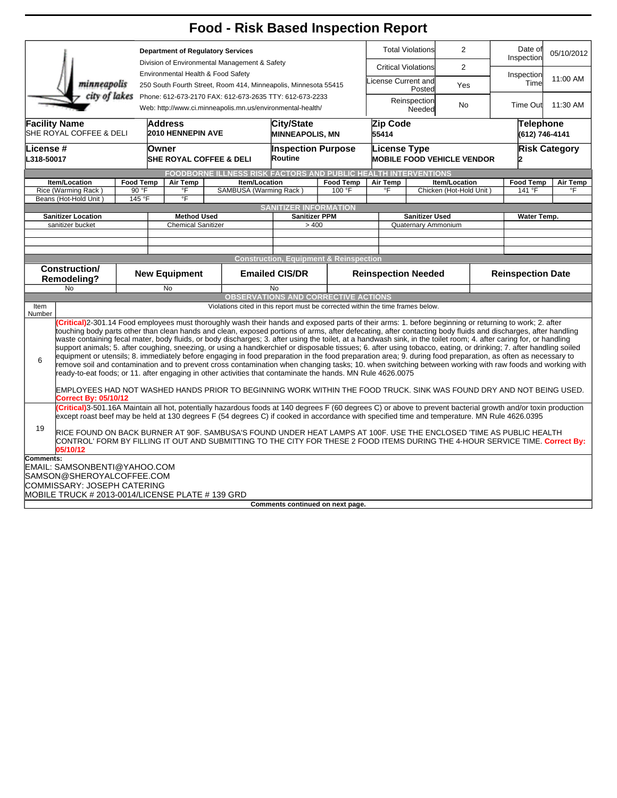|                                                                                                                      |                                                                                                                                          |                           |                                                 | <b>Food - Risk Based Inspection Report</b>                                                                                                                                                                                                                                                                                                                                                                                                                                                                                                                                                                                                                                                                                                                                                                                                                                                                                                                                                                                                                                                                                                                                                                                            |                                             |                                                   |                                              |                                                                   |           |                                    |                       |
|----------------------------------------------------------------------------------------------------------------------|------------------------------------------------------------------------------------------------------------------------------------------|---------------------------|-------------------------------------------------|---------------------------------------------------------------------------------------------------------------------------------------------------------------------------------------------------------------------------------------------------------------------------------------------------------------------------------------------------------------------------------------------------------------------------------------------------------------------------------------------------------------------------------------------------------------------------------------------------------------------------------------------------------------------------------------------------------------------------------------------------------------------------------------------------------------------------------------------------------------------------------------------------------------------------------------------------------------------------------------------------------------------------------------------------------------------------------------------------------------------------------------------------------------------------------------------------------------------------------------|---------------------------------------------|---------------------------------------------------|----------------------------------------------|-------------------------------------------------------------------|-----------|------------------------------------|-----------------------|
|                                                                                                                      |                                                                                                                                          | <b>Total Violations</b>   |                                                 | $\overline{2}$                                                                                                                                                                                                                                                                                                                                                                                                                                                                                                                                                                                                                                                                                                                                                                                                                                                                                                                                                                                                                                                                                                                                                                                                                        | Date of<br>Inspection                       | 05/10/2012                                        |                                              |                                                                   |           |                                    |                       |
|                                                                                                                      |                                                                                                                                          |                           | <b>Critical Violations</b>                      |                                                                                                                                                                                                                                                                                                                                                                                                                                                                                                                                                                                                                                                                                                                                                                                                                                                                                                                                                                                                                                                                                                                                                                                                                                       | $\overline{2}$                              | Inspection                                        |                                              |                                                                   |           |                                    |                       |
| Environmental Health & Food Safety<br>minneapolis<br>250 South Fourth Street, Room 414, Minneapolis, Minnesota 55415 |                                                                                                                                          |                           |                                                 |                                                                                                                                                                                                                                                                                                                                                                                                                                                                                                                                                                                                                                                                                                                                                                                                                                                                                                                                                                                                                                                                                                                                                                                                                                       |                                             |                                                   | License Current and<br>Yes<br>Posted         |                                                                   |           | Time                               | 11:00 AM              |
|                                                                                                                      | city of lakes                                                                                                                            |                           |                                                 | Phone: 612-673-2170 FAX: 612-673-2635 TTY: 612-673-2233<br>Web: http://www.ci.minneapolis.mn.us/environmental-health/                                                                                                                                                                                                                                                                                                                                                                                                                                                                                                                                                                                                                                                                                                                                                                                                                                                                                                                                                                                                                                                                                                                 |                                             |                                                   |                                              | Reinspection<br>Needed                                            | <b>No</b> | <b>Time Out</b>                    | 11:30 AM              |
| <b>Facility Name</b><br><b>Address</b><br>SHE ROYAL COFFEE & DELI<br><b>2010 HENNEPIN AVE</b>                        |                                                                                                                                          |                           |                                                 |                                                                                                                                                                                                                                                                                                                                                                                                                                                                                                                                                                                                                                                                                                                                                                                                                                                                                                                                                                                                                                                                                                                                                                                                                                       | <b>City/State</b><br><b>MINNEAPOLIS, MN</b> |                                                   | Zip Code<br>55414                            |                                                                   |           | <b>Telephone</b><br>(612) 746-4141 |                       |
| License #<br>L318-50017                                                                                              | <b>Inspection Purpose</b><br>License Type<br>Owner<br>Routine<br><b>MOBILE FOOD VEHICLE VENDOR</b><br><b>SHE ROYAL COFFEE &amp; DELI</b> |                           |                                                 |                                                                                                                                                                                                                                                                                                                                                                                                                                                                                                                                                                                                                                                                                                                                                                                                                                                                                                                                                                                                                                                                                                                                                                                                                                       |                                             |                                                   |                                              | <b>Risk Category</b>                                              |           |                                    |                       |
|                                                                                                                      |                                                                                                                                          |                           |                                                 | FOODBORNE ILLNESS RISK FACTORS AND PUBLIC HEALTH INTERVENTIONS                                                                                                                                                                                                                                                                                                                                                                                                                                                                                                                                                                                                                                                                                                                                                                                                                                                                                                                                                                                                                                                                                                                                                                        |                                             |                                                   |                                              |                                                                   |           |                                    |                       |
|                                                                                                                      | Item/Location<br>Rice (Warming Rack)                                                                                                     | <b>Food Temp</b><br>90 °F | $\overline{\mathsf{F}}$                         | Item/Location<br>Air Temp<br>SAMBUSA (Warming Rack)                                                                                                                                                                                                                                                                                                                                                                                                                                                                                                                                                                                                                                                                                                                                                                                                                                                                                                                                                                                                                                                                                                                                                                                   |                                             | <b>Food Temp</b><br>100 °F                        |                                              | <b>Air Temp</b><br>Item/Location<br>°F<br>Chicken (Hot-Hold Unit) |           | <b>Food Temp</b><br>141 °F         | <b>Air Temp</b><br>°F |
|                                                                                                                      | Beans (Hot-Hold Unit)                                                                                                                    | 145 °F                    | $\overline{F}$                                  |                                                                                                                                                                                                                                                                                                                                                                                                                                                                                                                                                                                                                                                                                                                                                                                                                                                                                                                                                                                                                                                                                                                                                                                                                                       |                                             |                                                   |                                              |                                                                   |           |                                    |                       |
|                                                                                                                      |                                                                                                                                          |                           |                                                 |                                                                                                                                                                                                                                                                                                                                                                                                                                                                                                                                                                                                                                                                                                                                                                                                                                                                                                                                                                                                                                                                                                                                                                                                                                       | <b>SANITIZER INFORMATION</b>                |                                                   |                                              |                                                                   |           |                                    |                       |
|                                                                                                                      | <b>Sanitizer Location</b><br>sanitizer bucket                                                                                            |                           | <b>Method Used</b><br><b>Chemical Sanitizer</b> |                                                                                                                                                                                                                                                                                                                                                                                                                                                                                                                                                                                                                                                                                                                                                                                                                                                                                                                                                                                                                                                                                                                                                                                                                                       | <b>Sanitizer PPM</b><br>> 400               |                                                   | <b>Sanitizer Used</b><br>Quaternary Ammonium |                                                                   |           | <b>Water Temp.</b>                 |                       |
|                                                                                                                      |                                                                                                                                          |                           |                                                 |                                                                                                                                                                                                                                                                                                                                                                                                                                                                                                                                                                                                                                                                                                                                                                                                                                                                                                                                                                                                                                                                                                                                                                                                                                       |                                             |                                                   |                                              |                                                                   |           |                                    |                       |
|                                                                                                                      |                                                                                                                                          |                           |                                                 |                                                                                                                                                                                                                                                                                                                                                                                                                                                                                                                                                                                                                                                                                                                                                                                                                                                                                                                                                                                                                                                                                                                                                                                                                                       |                                             |                                                   |                                              |                                                                   |           |                                    |                       |
|                                                                                                                      |                                                                                                                                          |                           |                                                 |                                                                                                                                                                                                                                                                                                                                                                                                                                                                                                                                                                                                                                                                                                                                                                                                                                                                                                                                                                                                                                                                                                                                                                                                                                       |                                             |                                                   |                                              |                                                                   |           |                                    |                       |
|                                                                                                                      |                                                                                                                                          |                           |                                                 |                                                                                                                                                                                                                                                                                                                                                                                                                                                                                                                                                                                                                                                                                                                                                                                                                                                                                                                                                                                                                                                                                                                                                                                                                                       |                                             |                                                   |                                              |                                                                   |           |                                    |                       |
|                                                                                                                      |                                                                                                                                          |                           |                                                 |                                                                                                                                                                                                                                                                                                                                                                                                                                                                                                                                                                                                                                                                                                                                                                                                                                                                                                                                                                                                                                                                                                                                                                                                                                       |                                             | <b>Construction, Equipment &amp; Reinspection</b> |                                              |                                                                   |           |                                    |                       |
|                                                                                                                      | Construction/<br>Remodeling?                                                                                                             |                           | <b>New Equipment</b>                            |                                                                                                                                                                                                                                                                                                                                                                                                                                                                                                                                                                                                                                                                                                                                                                                                                                                                                                                                                                                                                                                                                                                                                                                                                                       | <b>Emailed CIS/DR</b>                       |                                                   | <b>Reinspection Needed</b>                   |                                                                   |           | <b>Reinspection Date</b>           |                       |
|                                                                                                                      | No                                                                                                                                       |                           | <b>No</b>                                       |                                                                                                                                                                                                                                                                                                                                                                                                                                                                                                                                                                                                                                                                                                                                                                                                                                                                                                                                                                                                                                                                                                                                                                                                                                       | <b>No</b>                                   |                                                   |                                              |                                                                   |           |                                    |                       |
| Item<br>Number                                                                                                       |                                                                                                                                          |                           |                                                 | Violations cited in this report must be corrected within the time frames below.                                                                                                                                                                                                                                                                                                                                                                                                                                                                                                                                                                                                                                                                                                                                                                                                                                                                                                                                                                                                                                                                                                                                                       |                                             | <b>OBSERVATIONS AND CORRECTIVE ACTIONS</b>        |                                              |                                                                   |           |                                    |                       |
| 6                                                                                                                    | Correct By: 05/10/12                                                                                                                     |                           |                                                 | Critical)2-301.14 Food employees must thoroughly wash their hands and exposed parts of their arms: 1. before beginning or returning to work; 2. after<br>touching body parts other than clean hands and clean, exposed portions of arms, after defecating, after contacting body fluids and discharges, after handling<br>waste containing fecal mater, body fluids, or body discharges; 3. after using the toilet, at a handwash sink, in the toilet room; 4. after caring for, or handling<br>support animals; 5. after coughing, sneezing, or using a handkerchief or disposable tissues; 6. after using tobacco, eating, or drinking; 7. after handling soiled<br>equipment or utensils; 8. immediately before engaging in food preparation in the food preparation area; 9. during food preparation, as often as necessary to<br>remove soil and contamination and to prevent cross contamination when changing tasks; 10. when switching between working with raw foods and working with<br>ready-to-eat foods; or 11. after engaging in other activities that contaminate the hands. MN Rule 4626.0075<br>EMPLOYEES HAD NOT WASHED HANDS PRIOR TO BEGINNING WORK WITHIN THE FOOD TRUCK. SINK WAS FOUND DRY AND NOT BEING USED. |                                             |                                                   |                                              |                                                                   |           |                                    |                       |
|                                                                                                                      |                                                                                                                                          |                           |                                                 | Critical)3-501.16A Maintain all hot, potentially hazardous foods at 140 degrees F (60 degrees C) or above to prevent bacterial growth and/or toxin production                                                                                                                                                                                                                                                                                                                                                                                                                                                                                                                                                                                                                                                                                                                                                                                                                                                                                                                                                                                                                                                                         |                                             |                                                   |                                              |                                                                   |           |                                    |                       |
| 19                                                                                                                   | 05/10/12                                                                                                                                 |                           |                                                 | except roast beef may be held at 130 degrees F (54 degrees C) if cooked in accordance with specified time and temperature. MN Rule 4626.0395<br>RICE FOUND ON BACK BURNER AT 90F. SAMBUSA'S FOUND UNDER HEAT LAMPS AT 100F. USE THE ENCLOSED 'TIME AS PUBLIC HEALTH<br>CONTROL' FORM BY FILLING IT OUT AND SUBMITTING TO THE CITY FOR THESE 2 FOOD ITEMS DURING THE 4-HOUR SERVICE TIME. Correct By:                                                                                                                                                                                                                                                                                                                                                                                                                                                                                                                                                                                                                                                                                                                                                                                                                                  |                                             |                                                   |                                              |                                                                   |           |                                    |                       |
| Comments:                                                                                                            |                                                                                                                                          |                           |                                                 |                                                                                                                                                                                                                                                                                                                                                                                                                                                                                                                                                                                                                                                                                                                                                                                                                                                                                                                                                                                                                                                                                                                                                                                                                                       |                                             |                                                   |                                              |                                                                   |           |                                    |                       |
|                                                                                                                      | EMAIL: SAMSONBENTI@YAHOO.COM                                                                                                             |                           |                                                 |                                                                                                                                                                                                                                                                                                                                                                                                                                                                                                                                                                                                                                                                                                                                                                                                                                                                                                                                                                                                                                                                                                                                                                                                                                       |                                             |                                                   |                                              |                                                                   |           |                                    |                       |
|                                                                                                                      | SAMSON@SHEROYALCOFFEE.COM                                                                                                                |                           |                                                 |                                                                                                                                                                                                                                                                                                                                                                                                                                                                                                                                                                                                                                                                                                                                                                                                                                                                                                                                                                                                                                                                                                                                                                                                                                       |                                             |                                                   |                                              |                                                                   |           |                                    |                       |
|                                                                                                                      | COMMISSARY: JOSEPH CATERING<br>MOBILE TRUCK # 2013-0014/LICENSE PLATE # 139 GRD                                                          |                           |                                                 |                                                                                                                                                                                                                                                                                                                                                                                                                                                                                                                                                                                                                                                                                                                                                                                                                                                                                                                                                                                                                                                                                                                                                                                                                                       |                                             |                                                   |                                              |                                                                   |           |                                    |                       |